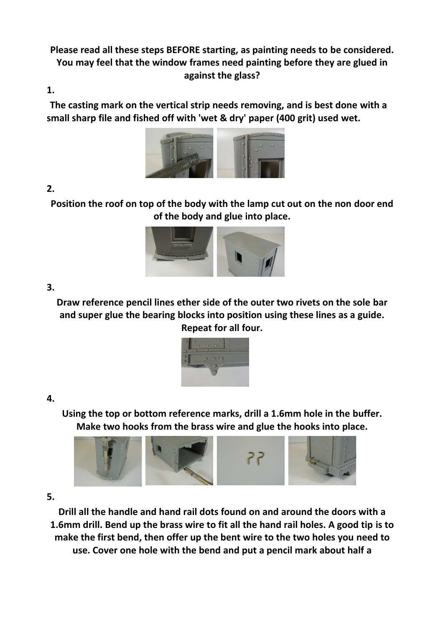**Please read all these steps BEFORE starting, as painting needs to be considered. You may feel that the window frames need painting before they are glued in against the glass?**

**1.**

**The casting mark on the vertical strip needs removing, and is best done with a small sharp file and fished off with 'wet & dry' paper (400 grit) used wet.**



# **2.**

**Position the roof on top of the body with the lamp cut out on the non door end of the body and glue into place.**



# **3.**

**Draw reference pencil lines ether side of the outer two rivets on the sole bar and super glue the bearing blocks into position using these lines as a guide. Repeat for all four.**



### **4.**

**Using the top or bottom reference marks, drill a 1.6mm hole in the buffer. Make two hooks from the brass wire and glue the hooks into place.**



**5.**

**Drill all the handle and hand rail dots found on and around the doors with a 1.6mm drill. Bend up the brass wire to fit all the hand rail holes. A good tip is to make the first bend, then offer up the bent wire to the two holes you need to use. Cover one hole with the bend and put a pencil mark about half a**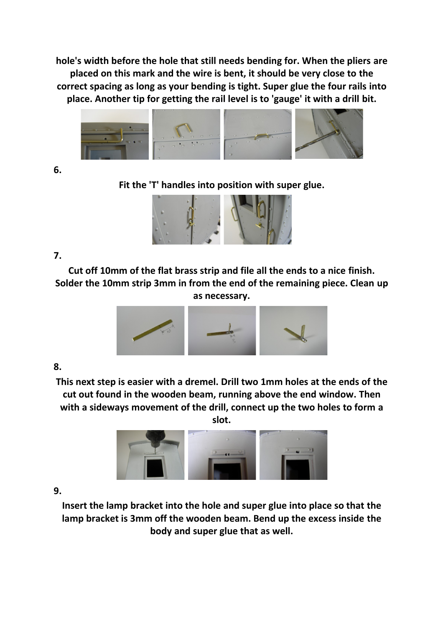**hole's width before the hole that still needs bending for. When the pliers are placed on this mark and the wire is bent, it should be very close to the correct spacing as long as your bending is tight. Super glue the four rails into place. Another tip for getting the rail level is to 'gauge' it with a drill bit.**



**6.**

**Fit the 'T' handles into position with super glue.**



# **7.**

**Cut off 10mm of the flat brass strip and file all the ends to a nice finish. Solder the 10mm strip 3mm in from the end of the remaining piece. Clean up as necessary.**



# **8.**

**This next step is easier with a dremel. Drill two 1mm holes at the ends of the cut out found in the wooden beam, running above the end window. Then with a sideways movement of the drill, connect up the two holes to form a slot.**



**9.**

**Insert the lamp bracket into the hole and super glue into place so that the lamp bracket is 3mm off the wooden beam. Bend up the excess inside the body and super glue that as well.**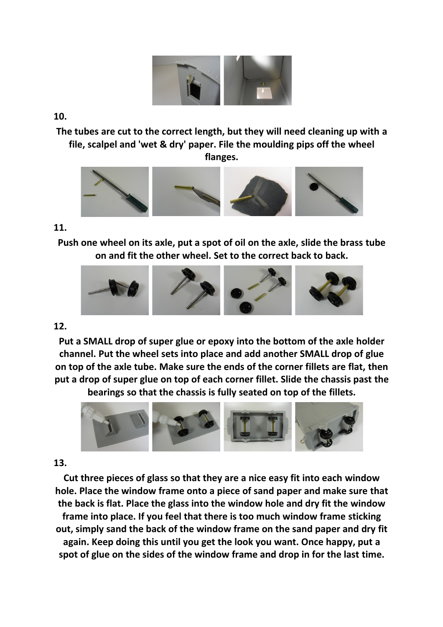

**10.**

**The tubes are cut to the correct length, but they will need cleaning up with a file, scalpel and 'wet & dry' paper. File the moulding pips off the wheel flanges.**



### **11.**

**Push one wheel on its axle, put a spot of oil on the axle, slide the brass tube on and fit the other wheel. Set to the correct back to back.**



### **12.**

**Put a SMALL drop of super glue or epoxy into the bottom of the axle holder channel. Put the wheel sets into place and add another SMALL drop of glue on top of the axle tube. Make sure the ends of the corner fillets are flat, then put a drop of super glue on top of each corner fillet. Slide the chassis past the**

**bearings so that the chassis is fully seated on top of the fillets.**



# **13.**

**Cut three pieces of glass so that they are a nice easy fit into each window hole. Place the window frame onto a piece of sand paper and make sure that the back is flat. Place the glass into the window hole and dry fit the window frame into place. If you feel that there is too much window frame sticking out, simply sand the back of the window frame on the sand paper and dry fit again. Keep doing this until you get the look you want. Once happy, put a spot of glue on the sides of the window frame and drop in for the last time.**